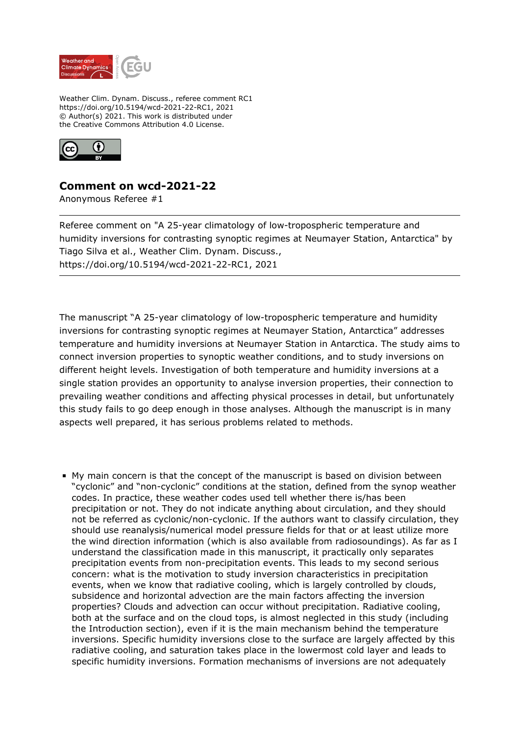

Weather Clim. Dynam. Discuss., referee comment RC1 https://doi.org/10.5194/wcd-2021-22-RC1, 2021 © Author(s) 2021. This work is distributed under the Creative Commons Attribution 4.0 License.



## **Comment on wcd-2021-22**

Anonymous Referee #1

Referee comment on "A 25-year climatology of low-tropospheric temperature and humidity inversions for contrasting synoptic regimes at Neumayer Station, Antarctica" by Tiago Silva et al., Weather Clim. Dynam. Discuss., https://doi.org/10.5194/wcd-2021-22-RC1, 2021

The manuscript "A 25-year climatology of low-tropospheric temperature and humidity inversions for contrasting synoptic regimes at Neumayer Station, Antarctica" addresses temperature and humidity inversions at Neumayer Station in Antarctica. The study aims to connect inversion properties to synoptic weather conditions, and to study inversions on different height levels. Investigation of both temperature and humidity inversions at a single station provides an opportunity to analyse inversion properties, their connection to prevailing weather conditions and affecting physical processes in detail, but unfortunately this study fails to go deep enough in those analyses. Although the manuscript is in many aspects well prepared, it has serious problems related to methods.

My main concern is that the concept of the manuscript is based on division between "cyclonic" and "non-cyclonic" conditions at the station, defined from the synop weather codes. In practice, these weather codes used tell whether there is/has been precipitation or not. They do not indicate anything about circulation, and they should not be referred as cyclonic/non-cyclonic. If the authors want to classify circulation, they should use reanalysis/numerical model pressure fields for that or at least utilize more the wind direction information (which is also available from radiosoundings). As far as I understand the classification made in this manuscript, it practically only separates precipitation events from non-precipitation events. This leads to my second serious concern: what is the motivation to study inversion characteristics in precipitation events, when we know that radiative cooling, which is largely controlled by clouds, subsidence and horizontal advection are the main factors affecting the inversion properties? Clouds and advection can occur without precipitation. Radiative cooling, both at the surface and on the cloud tops, is almost neglected in this study (including the Introduction section), even if it is the main mechanism behind the temperature inversions. Specific humidity inversions close to the surface are largely affected by this radiative cooling, and saturation takes place in the lowermost cold layer and leads to specific humidity inversions. Formation mechanisms of inversions are not adequately